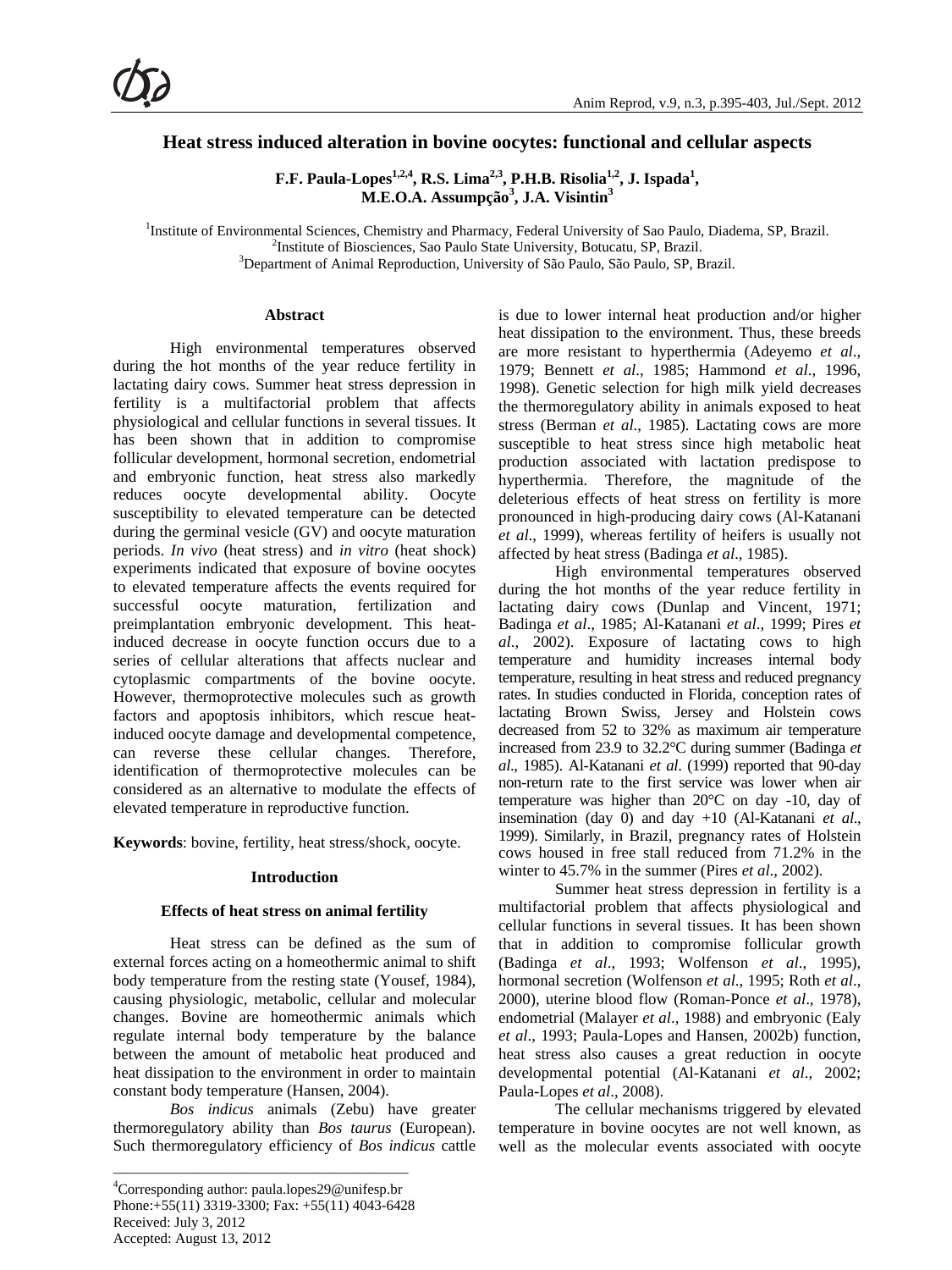# **Heat stress induced alteration in bovine oocytes: functional and cellular aspects**

**F.F. Paula-Lopes<sup>1,2,4</sup>, R.S. Lima<sup>2,3</sup>, P.H.B. Risolia<sup>1,2</sup>, J. Ispada<sup>1</sup>, M.E.O.A. Assumpção<sup>3</sup> , J.A. Visintin<sup>3</sup>**

<sup>1</sup>Institute of Environmental Sciences, Chemistry and Pharmacy, Federal University of Sao Paulo, Diadema, SP, Brazil. <sup>2</sup>Institute of Biogramese, See Paulo State University, Betuatu, SB, Brazil.

<sup>3</sup>Department of Animal Reproduction, University of São Paulo, São Paulo, SP, Brazil.

## **Abstract**

High environmental temperatures observed during the hot months of the year reduce fertility in lactating dairy cows. Summer heat stress depression in fertility is a multifactorial problem that affects physiological and cellular functions in several tissues. It has been shown that in addition to compromise follicular development, hormonal secretion, endometrial and embryonic function, heat stress also markedly reduces oocyte developmental ability. Oocyte susceptibility to elevated temperature can be detected during the germinal vesicle (GV) and oocyte maturation periods. *In vivo* (heat stress) and *in vitro* (heat shock) experiments indicated that exposure of bovine oocytes to elevated temperature affects the events required for successful oocyte maturation, fertilization and preimplantation embryonic development. This heatinduced decrease in oocyte function occurs due to a series of cellular alterations that affects nuclear and cytoplasmic compartments of the bovine oocyte. However, thermoprotective molecules such as growth factors and apoptosis inhibitors, which rescue heatinduced oocyte damage and developmental competence, can reverse these cellular changes. Therefore, identification of thermoprotective molecules can be considered as an alternative to modulate the effects of elevated temperature in reproductive function.

**Keywords**: bovine, fertility, heat stress/shock, oocyte.

## **Introduction**

## **Effects of heat stress on animal fertility**

Heat stress can be defined as the sum of external forces acting on a homeothermic animal to shift body temperature from the resting state (Yousef, 1984), causing physiologic, metabolic, cellular and molecular changes. Bovine are homeothermic animals which regulate internal body temperature by the balance between the amount of metabolic heat produced and heat dissipation to the environment in order to maintain constant body temperature (Hansen, 2004).

*Bos indicus* animals (Zebu) have greater thermoregulatory ability than *Bos taurus* (European). Such thermoregulatory efficiency of *Bos indicus* cattle

\_\_\_\_\_\_\_\_\_\_\_\_\_\_\_\_\_\_\_\_\_\_\_\_\_\_\_\_\_\_\_\_\_\_\_\_\_\_\_\_\_

is due to lower internal heat production and/or higher heat dissipation to the environment. Thus, these breeds are more resistant to hyperthermia (Adeyemo *et al*., 1979; Bennett *et al*., 1985; Hammond *et al*., 1996, 1998). Genetic selection for high milk yield decreases the thermoregulatory ability in animals exposed to heat stress (Berman *et al*., 1985). Lactating cows are more susceptible to heat stress since high metabolic heat production associated with lactation predispose to hyperthermia. Therefore, the magnitude of the deleterious effects of heat stress on fertility is more pronounced in high-producing dairy cows (Al-Katanani *et al*., 1999), whereas fertility of heifers is usually not affected by heat stress (Badinga *et al*., 1985).

High environmental temperatures observed during the hot months of the year reduce fertility in lactating dairy cows (Dunlap and Vincent, 1971; Badinga *et al*., 1985; Al-Katanani *et al*., 1999; Pires *et al*., 2002). Exposure of lactating cows to high temperature and humidity increases internal body temperature, resulting in heat stress and reduced pregnancy rates. In studies conducted in Florida, conception rates of lactating Brown Swiss, Jersey and Holstein cows decreased from 52 to 32% as maximum air temperature increased from 23.9 to 32.2°C during summer (Badinga *et al*., 1985). Al-Katanani *et al*. (1999) reported that 90-day non-return rate to the first service was lower when air temperature was higher than 20°C on day -10, day of insemination (day 0) and day +10 (Al-Katanani *et al*., 1999). Similarly, in Brazil, pregnancy rates of Holstein cows housed in free stall reduced from 71.2% in the winter to 45.7% in the summer (Pires *et al*., 2002).

Summer heat stress depression in fertility is a multifactorial problem that affects physiological and cellular functions in several tissues. It has been shown that in addition to compromise follicular growth (Badinga *et al*., 1993; Wolfenson *et al*., 1995), hormonal secretion (Wolfenson *et al*., 1995; Roth *et al*., 2000), uterine blood flow (Roman-Ponce *et al*., 1978), endometrial (Malayer *et al*., 1988) and embryonic (Ealy *et al*., 1993; Paula-Lopes and Hansen, 2002b) function, heat stress also causes a great reduction in oocyte developmental potential (Al-Katanani *et al*., 2002; Paula-Lopes *et al*., 2008).

The cellular mechanisms triggered by elevated temperature in bovine oocytes are not well known, as well as the molecular events associated with oocyte

<sup>&</sup>lt;sup>2</sup>Institute of Biosciences, Sao Paulo State University, Botucatu, SP, Brazil.

<sup>4</sup> Corresponding author: paula.lopes29@unifesp.br Phone:+55(11) 3319-3300; Fax: +55(11) 4043-6428 Received: July 3, 2012 Accepted: August 13, 2012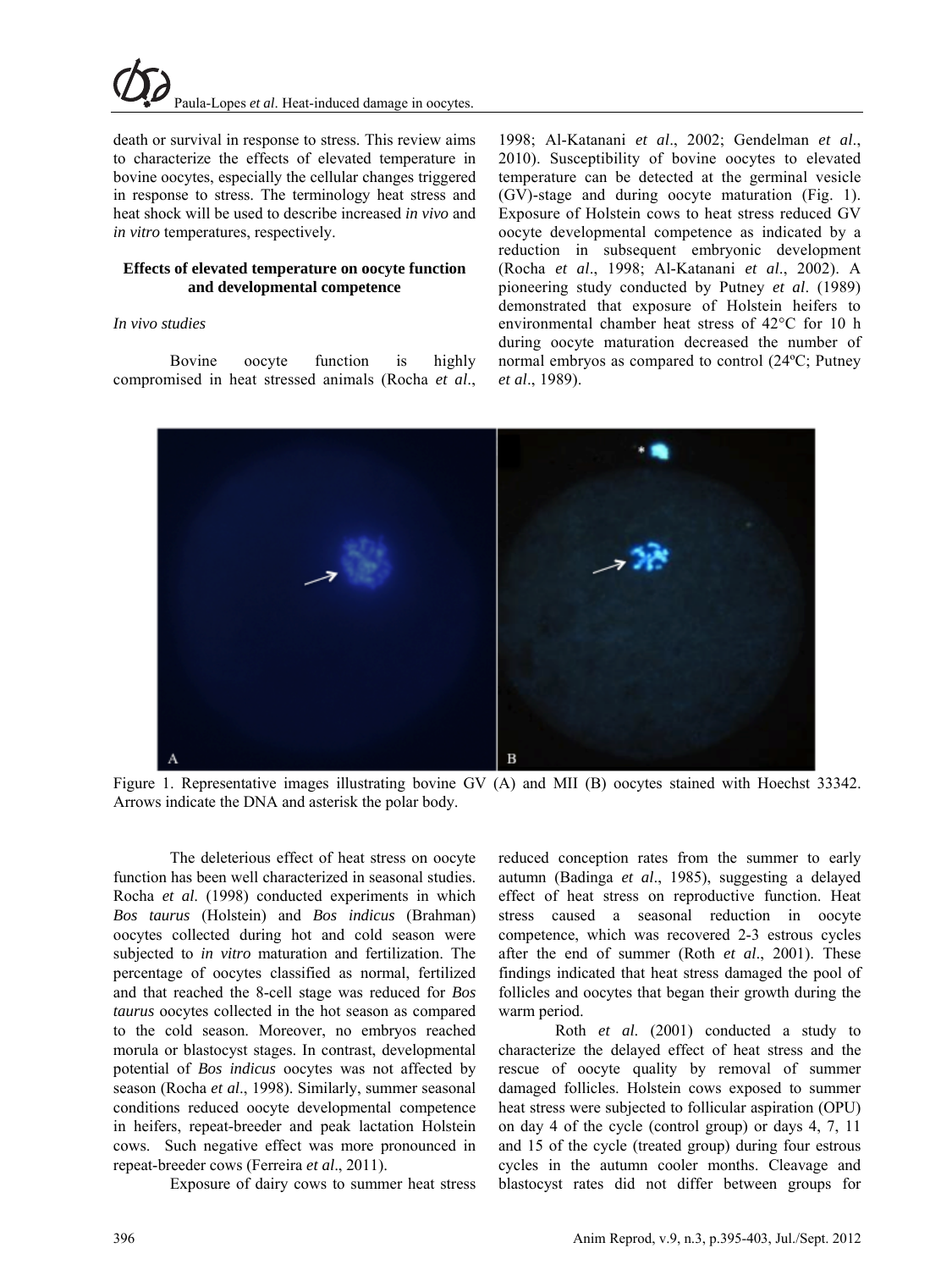death or survival in response to stress. This review aims to characterize the effects of elevated temperature in bovine oocytes, especially the cellular changes triggered in response to stress. The terminology heat stress and heat shock will be used to describe increased *in vivo* and *in vitro* temperatures, respectively.

## **Effects of elevated temperature on oocyte function and developmental competence**

## *In vivo studies*

Bovine oocyte function is highly compromised in heat stressed animals (Rocha *et al*., 1998; Al-Katanani *et al*., 2002; Gendelman *et al*., 2010). Susceptibility of bovine oocytes to elevated temperature can be detected at the germinal vesicle (GV)-stage and during oocyte maturation (Fig. 1). Exposure of Holstein cows to heat stress reduced GV oocyte developmental competence as indicated by a reduction in subsequent embryonic development (Rocha *et al*., 1998; Al-Katanani *et al*., 2002). A pioneering study conducted by Putney *et al*. (1989) demonstrated that exposure of Holstein heifers to environmental chamber heat stress of 42°C for 10 h during oocyte maturation decreased the number of normal embryos as compared to control (24ºC; Putney *et al*., 1989).



Figure 1. Representative images illustrating bovine GV (A) and MII (B) oocytes stained with Hoechst 33342. Arrows indicate the DNA and asterisk the polar body.

The deleterious effect of heat stress on oocyte function has been well characterized in seasonal studies. Rocha *et al*. (1998) conducted experiments in which *Bos taurus* (Holstein) and *Bos indicus* (Brahman) oocytes collected during hot and cold season were subjected to *in vitro* maturation and fertilization. The percentage of oocytes classified as normal, fertilized and that reached the 8-cell stage was reduced for *Bos taurus* oocytes collected in the hot season as compared to the cold season. Moreover, no embryos reached morula or blastocyst stages. In contrast, developmental potential of *Bos indicus* oocytes was not affected by season (Rocha *et al*., 1998). Similarly, summer seasonal conditions reduced oocyte developmental competence in heifers, repeat-breeder and peak lactation Holstein cows. Such negative effect was more pronounced in repeat-breeder cows (Ferreira *et al*., 2011).

Exposure of dairy cows to summer heat stress

reduced conception rates from the summer to early autumn (Badinga *et al*., 1985), suggesting a delayed effect of heat stress on reproductive function. Heat stress caused a seasonal reduction in oocyte competence, which was recovered 2-3 estrous cycles after the end of summer (Roth *et al*., 2001). These findings indicated that heat stress damaged the pool of follicles and oocytes that began their growth during the warm period.

Roth *et al*. (2001) conducted a study to characterize the delayed effect of heat stress and the rescue of oocyte quality by removal of summer damaged follicles. Holstein cows exposed to summer heat stress were subjected to follicular aspiration (OPU) on day 4 of the cycle (control group) or days 4, 7, 11 and 15 of the cycle (treated group) during four estrous cycles in the autumn cooler months. Cleavage and blastocyst rates did not differ between groups for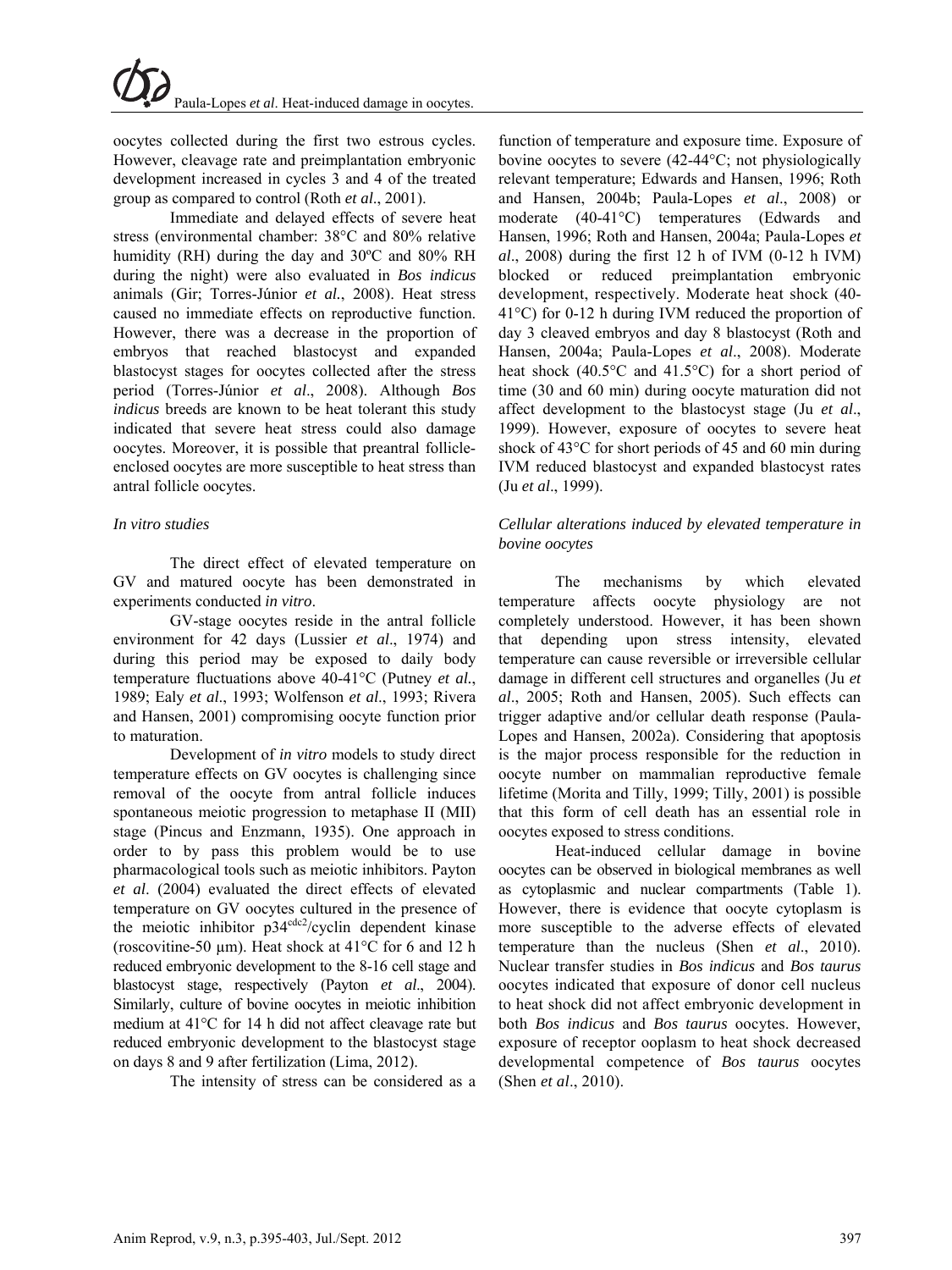oocytes collected during the first two estrous cycles. However, cleavage rate and preimplantation embryonic development increased in cycles 3 and 4 of the treated group as compared to control (Roth *et al*., 2001).

Immediate and delayed effects of severe heat stress (environmental chamber: 38°C and 80% relative humidity (RH) during the day and 30ºC and 80% RH during the night) were also evaluated in *Bos indicus* animals (Gir; Torres-Júnior *et al.*, 2008). Heat stress caused no immediate effects on reproductive function. However, there was a decrease in the proportion of embryos that reached blastocyst and expanded blastocyst stages for oocytes collected after the stress period (Torres-Júnior *et al*., 2008). Although *Bos indicus* breeds are known to be heat tolerant this study indicated that severe heat stress could also damage oocytes. Moreover, it is possible that preantral follicleenclosed oocytes are more susceptible to heat stress than antral follicle oocytes.

## *In vitro studies*

The direct effect of elevated temperature on GV and matured oocyte has been demonstrated in experiments conducted *in vitro*.

GV-stage oocytes reside in the antral follicle environment for 42 days (Lussier *et al*., 1974) and during this period may be exposed to daily body temperature fluctuations above 40-41°C (Putney *et al.*, 1989; Ealy *et al*., 1993; Wolfenson *et al*., 1993; Rivera and Hansen, 2001) compromising oocyte function prior to maturation.

Development of *in vitro* models to study direct temperature effects on GV oocytes is challenging since removal of the oocyte from antral follicle induces spontaneous meiotic progression to metaphase II (MII) stage (Pincus and Enzmann, 1935). One approach in order to by pass this problem would be to use pharmacological tools such as meiotic inhibitors. Payton *et al*. (2004) evaluated the direct effects of elevated temperature on GV oocytes cultured in the presence of the meiotic inhibitor  $p34^{cdc2}/c$ yclin dependent kinase (roscovitine-50 µm). Heat shock at 41°C for 6 and 12 h reduced embryonic development to the 8-16 cell stage and blastocyst stage, respectively (Payton *et al*., 2004). Similarly, culture of bovine oocytes in meiotic inhibition medium at 41°C for 14 h did not affect cleavage rate but reduced embryonic development to the blastocyst stage on days 8 and 9 after fertilization (Lima, 2012).

The intensity of stress can be considered as a

function of temperature and exposure time. Exposure of bovine oocytes to severe (42-44°C; not physiologically relevant temperature; Edwards and Hansen, 1996; Roth and Hansen, 2004b; Paula-Lopes *et al*., 2008) or moderate (40-41°C) temperatures (Edwards and Hansen, 1996; Roth and Hansen, 2004a; Paula-Lopes *et al*., 2008) during the first 12 h of IVM (0-12 h IVM) blocked or reduced preimplantation embryonic development, respectively. Moderate heat shock (40- 41°C) for 0-12 h during IVM reduced the proportion of day 3 cleaved embryos and day 8 blastocyst (Roth and Hansen, 2004a; Paula-Lopes *et al*., 2008). Moderate heat shock (40.5°C and 41.5°C) for a short period of time (30 and 60 min) during oocyte maturation did not affect development to the blastocyst stage (Ju *et al*., 1999). However, exposure of oocytes to severe heat shock of 43°C for short periods of 45 and 60 min during IVM reduced blastocyst and expanded blastocyst rates (Ju *et al*., 1999).

# *Cellular alterations induced by elevated temperature in bovine oocytes*

The mechanisms by which elevated temperature affects oocyte physiology are not completely understood. However, it has been shown that depending upon stress intensity, elevated temperature can cause reversible or irreversible cellular damage in different cell structures and organelles (Ju *et al*., 2005; Roth and Hansen, 2005). Such effects can trigger adaptive and/or cellular death response (Paula-Lopes and Hansen, 2002a). Considering that apoptosis is the major process responsible for the reduction in oocyte number on mammalian reproductive female lifetime (Morita and Tilly, 1999; Tilly, 2001) is possible that this form of cell death has an essential role in oocytes exposed to stress conditions.

Heat-induced cellular damage in bovine oocytes can be observed in biological membranes as well as cytoplasmic and nuclear compartments (Table 1). However, there is evidence that oocyte cytoplasm is more susceptible to the adverse effects of elevated temperature than the nucleus (Shen *et al*., 2010). Nuclear transfer studies in *Bos indicus* and *Bos taurus*  oocytes indicated that exposure of donor cell nucleus to heat shock did not affect embryonic development in both *Bos indicus* and *Bos taurus* oocytes. However, exposure of receptor ooplasm to heat shock decreased developmental competence of *Bos taurus* oocytes (Shen *et al*., 2010).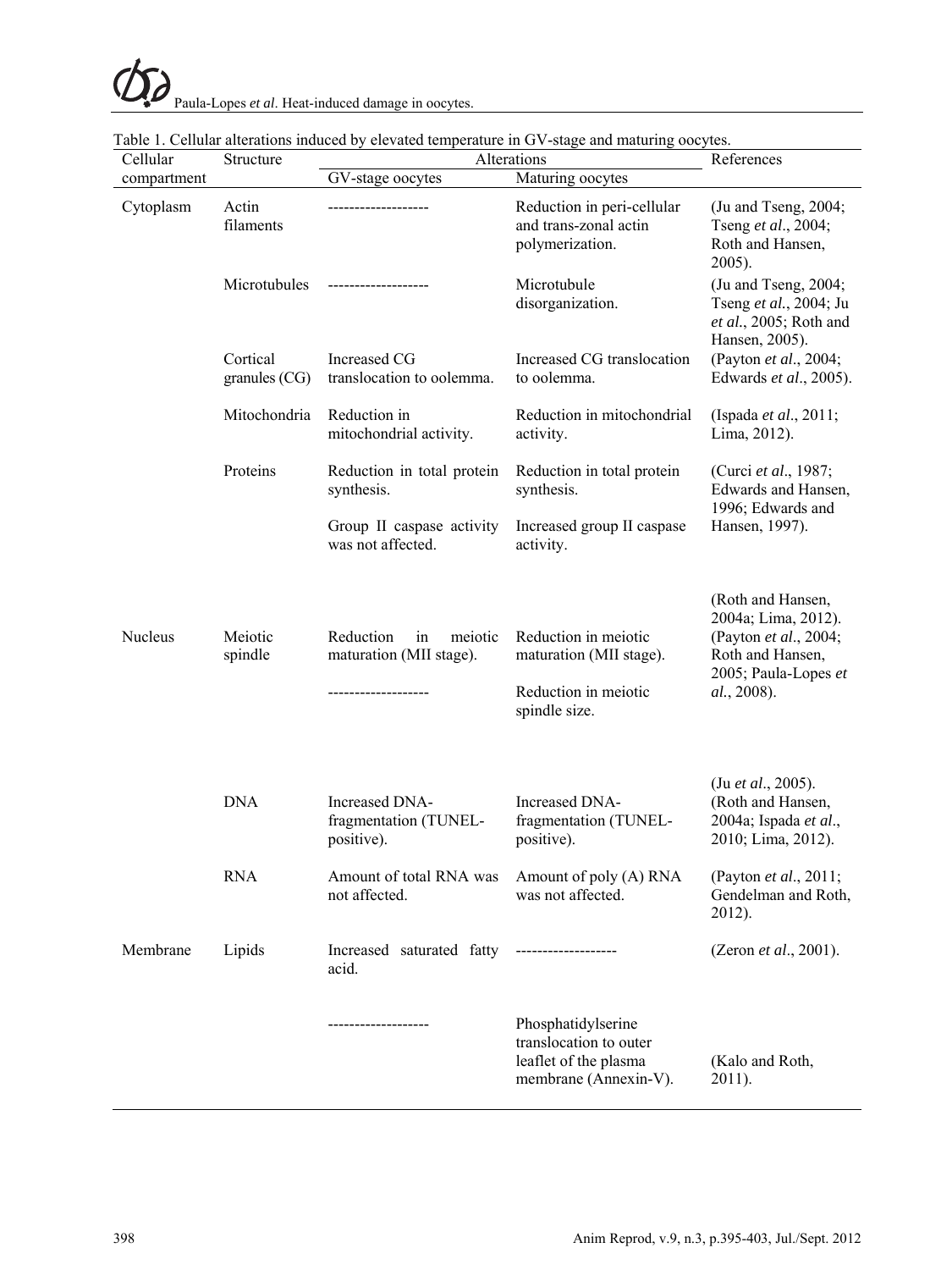| Cellular       | Structure                   | Alterations                                            | References                                                                                     |                                                                                                                              |
|----------------|-----------------------------|--------------------------------------------------------|------------------------------------------------------------------------------------------------|------------------------------------------------------------------------------------------------------------------------------|
| compartment    |                             | GV-stage oocytes                                       | Maturing oocytes                                                                               |                                                                                                                              |
| Cytoplasm      | Actin<br>filaments          |                                                        | Reduction in peri-cellular<br>and trans-zonal actin<br>polymerization.                         | (Ju and Tseng, 2004;<br>Tseng et al., 2004;<br>Roth and Hansen,<br>$2005$ ).                                                 |
|                | Microtubules                |                                                        | Microtubule<br>disorganization.                                                                | (Ju and Tseng, 2004;<br>Tseng et al., 2004; Ju<br>et al., 2005; Roth and<br>Hansen, 2005).                                   |
|                | Cortical<br>granules $(CG)$ | Increased CG<br>translocation to oolemma.              | Increased CG translocation<br>to oolemma.                                                      | (Payton et al., 2004;<br>Edwards et al., 2005).                                                                              |
|                | Mitochondria                | Reduction in<br>mitochondrial activity.                | Reduction in mitochondrial<br>activity.                                                        | (Ispada et al., 2011;<br>Lima, 2012).                                                                                        |
|                | Proteins                    | Reduction in total protein<br>synthesis.               | Reduction in total protein<br>synthesis.                                                       | (Curci et al., 1987;<br>Edwards and Hansen,                                                                                  |
|                |                             | Group II caspase activity<br>was not affected.         | Increased group II caspase<br>activity.                                                        | 1996; Edwards and<br>Hansen, 1997).                                                                                          |
| <b>Nucleus</b> | Meiotic<br>spindle          | Reduction<br>in<br>meiotic<br>maturation (MII stage).  | Reduction in meiotic<br>maturation (MII stage).<br>Reduction in meiotic<br>spindle size.       | (Roth and Hansen,<br>2004a; Lima, 2012).<br>(Payton et al., 2004;<br>Roth and Hansen,<br>2005; Paula-Lopes et<br>al., 2008). |
|                | <b>DNA</b>                  | Increased DNA-<br>fragmentation (TUNEL-<br>positive).  | Increased DNA-<br>fragmentation (TUNEL-<br>positive).                                          | (Ju et al., 2005).<br>(Roth and Hansen,<br>2004a; Ispada et al.,<br>2010; Lima, 2012).                                       |
|                | <b>RNA</b>                  | Amount of total RNA was<br>not affected.               | Amount of poly (A) RNA<br>was not affected.                                                    | (Payton et al., 2011;<br>Gendelman and Roth,<br>2012).                                                                       |
| Membrane       | Lipids                      | Increased saturated fatty -------------------<br>acid. |                                                                                                | (Zeron et al., 2001).                                                                                                        |
|                |                             | -------------------                                    | Phosphatidylserine<br>translocation to outer<br>leaflet of the plasma<br>membrane (Annexin-V). | (Kalo and Roth,<br>2011).                                                                                                    |

|  |  |  |  | Table 1. Cellular alterations induced by elevated temperature in GV-stage and maturing oocytes. |  |
|--|--|--|--|-------------------------------------------------------------------------------------------------|--|
|  |  |  |  |                                                                                                 |  |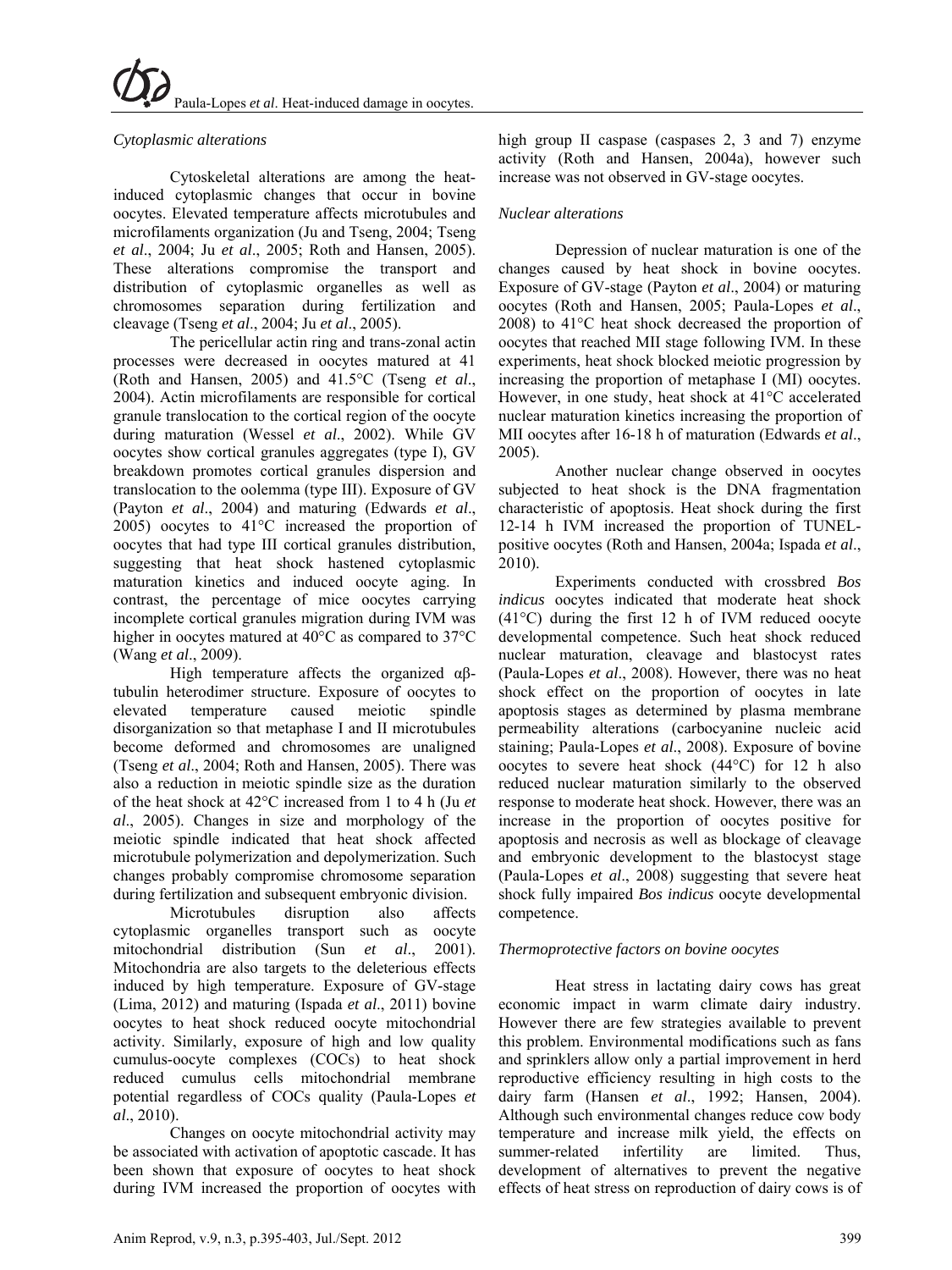# *Cytoplasmic alterations*

Cytoskeletal alterations are among the heatinduced cytoplasmic changes that occur in bovine oocytes. Elevated temperature affects microtubules and microfilaments organization (Ju and Tseng, 2004; Tseng *et al*., 2004; Ju *et al*., 2005; Roth and Hansen, 2005). These alterations compromise the transport and distribution of cytoplasmic organelles as well as chromosomes separation during fertilization and cleavage (Tseng *et al*., 2004; Ju *et al*., 2005).

The pericellular actin ring and trans-zonal actin processes were decreased in oocytes matured at 41 (Roth and Hansen, 2005) and 41.5°C (Tseng *et al*., 2004). Actin microfilaments are responsible for cortical granule translocation to the cortical region of the oocyte during maturation (Wessel *et al*., 2002). While GV oocytes show cortical granules aggregates (type I), GV breakdown promotes cortical granules dispersion and translocation to the oolemma (type III). Exposure of GV (Payton *et al*., 2004) and maturing (Edwards *et al*., 2005) oocytes to 41°C increased the proportion of oocytes that had type III cortical granules distribution, suggesting that heat shock hastened cytoplasmic maturation kinetics and induced oocyte aging. In contrast, the percentage of mice oocytes carrying incomplete cortical granules migration during IVM was higher in oocytes matured at 40°C as compared to 37°C (Wang *et al*., 2009).

High temperature affects the organized  $\alpha\beta$ tubulin heterodimer structure. Exposure of oocytes to elevated temperature caused meiotic spindle disorganization so that metaphase I and II microtubules become deformed and chromosomes are unaligned (Tseng *et al*., 2004; Roth and Hansen, 2005). There was also a reduction in meiotic spindle size as the duration of the heat shock at 42°C increased from 1 to 4 h (Ju *et al*., 2005). Changes in size and morphology of the meiotic spindle indicated that heat shock affected microtubule polymerization and depolymerization. Such changes probably compromise chromosome separation during fertilization and subsequent embryonic division.

Microtubules disruption also affects cytoplasmic organelles transport such as oocyte mitochondrial distribution (Sun *et al*., 2001). Mitochondria are also targets to the deleterious effects induced by high temperature. Exposure of GV-stage (Lima, 2012) and maturing (Ispada *et al*., 2011) bovine oocytes to heat shock reduced oocyte mitochondrial activity. Similarly, exposure of high and low quality cumulus-oocyte complexes (COCs) to heat shock reduced cumulus cells mitochondrial membrane potential regardless of COCs quality (Paula-Lopes *et al*., 2010).

Changes on oocyte mitochondrial activity may be associated with activation of apoptotic cascade. It has been shown that exposure of oocytes to heat shock during IVM increased the proportion of oocytes with

high group II caspase (caspases 2, 3 and 7) enzyme activity (Roth and Hansen, 2004a), however such increase was not observed in GV-stage oocytes.

## *Nuclear alterations*

Depression of nuclear maturation is one of the changes caused by heat shock in bovine oocytes. Exposure of GV-stage (Payton *et al*., 2004) or maturing oocytes (Roth and Hansen, 2005; Paula-Lopes *et al*., 2008) to 41°C heat shock decreased the proportion of oocytes that reached MII stage following IVM. In these experiments, heat shock blocked meiotic progression by increasing the proportion of metaphase I (MI) oocytes. However, in one study, heat shock at 41°C accelerated nuclear maturation kinetics increasing the proportion of MII oocytes after 16-18 h of maturation (Edwards *et al*., 2005).

Another nuclear change observed in oocytes subjected to heat shock is the DNA fragmentation characteristic of apoptosis. Heat shock during the first 12-14 h IVM increased the proportion of TUNELpositive oocytes (Roth and Hansen, 2004a; Ispada *et al*., 2010).

Experiments conducted with crossbred *Bos indicus* oocytes indicated that moderate heat shock (41°C) during the first 12 h of IVM reduced oocyte developmental competence. Such heat shock reduced nuclear maturation, cleavage and blastocyst rates (Paula-Lopes *et al*., 2008). However, there was no heat shock effect on the proportion of oocytes in late apoptosis stages as determined by plasma membrane permeability alterations (carbocyanine nucleic acid staining; Paula-Lopes *et al*., 2008). Exposure of bovine oocytes to severe heat shock (44°C) for 12 h also reduced nuclear maturation similarly to the observed response to moderate heat shock. However, there was an increase in the proportion of oocytes positive for apoptosis and necrosis as well as blockage of cleavage and embryonic development to the blastocyst stage (Paula-Lopes *et al*., 2008) suggesting that severe heat shock fully impaired *Bos indicus* oocyte developmental competence.

## *Thermoprotective factors on bovine oocytes*

Heat stress in lactating dairy cows has great economic impact in warm climate dairy industry. However there are few strategies available to prevent this problem. Environmental modifications such as fans and sprinklers allow only a partial improvement in herd reproductive efficiency resulting in high costs to the dairy farm (Hansen *et al*., 1992; Hansen, 2004). Although such environmental changes reduce cow body temperature and increase milk yield, the effects on summer-related infertility are limited. Thus, development of alternatives to prevent the negative effects of heat stress on reproduction of dairy cows is of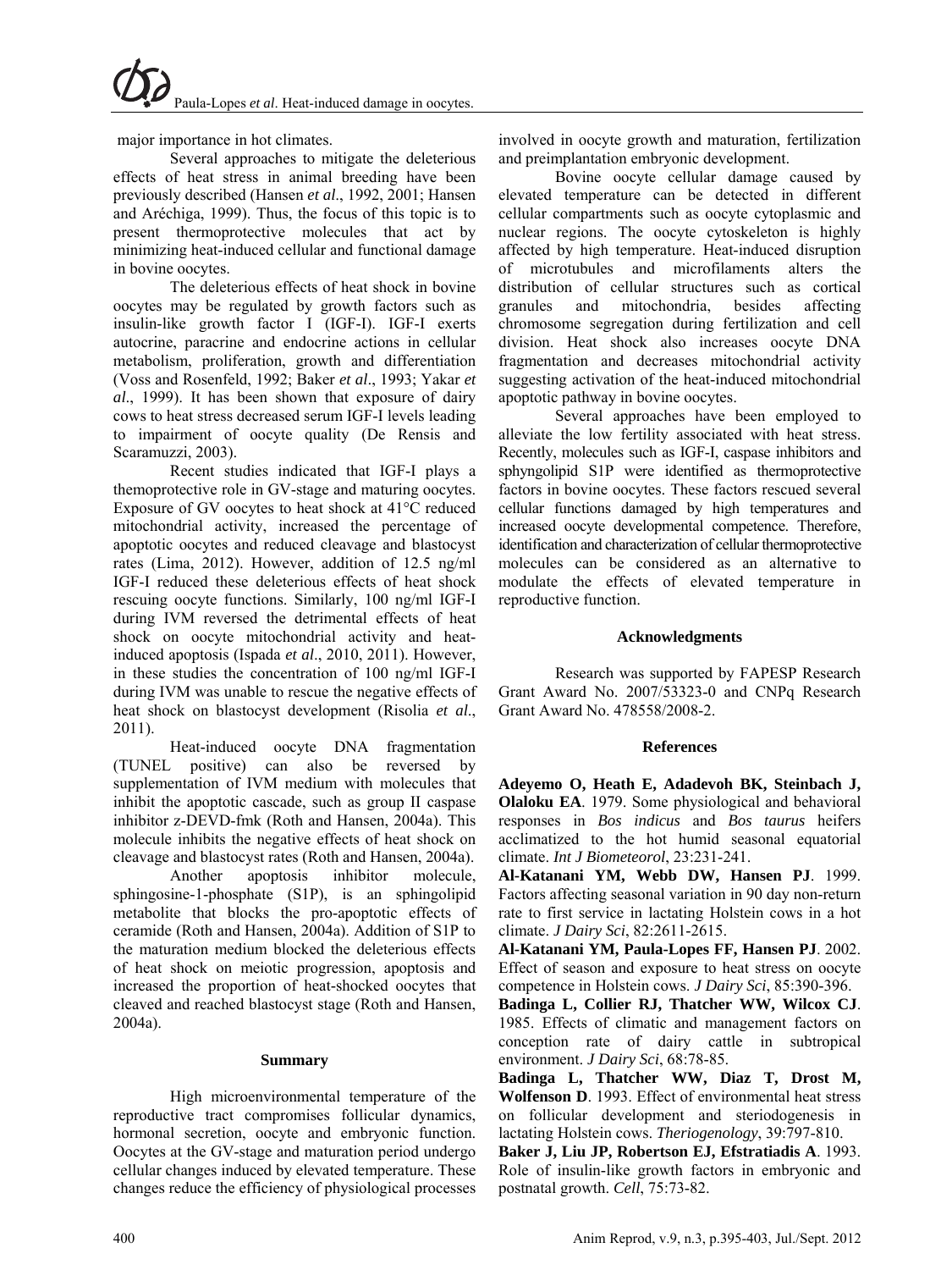major importance in hot climates.

Several approaches to mitigate the deleterious effects of heat stress in animal breeding have been previously described (Hansen *et al*., 1992, 2001; Hansen and Aréchiga, 1999). Thus, the focus of this topic is to present thermoprotective molecules that act by minimizing heat-induced cellular and functional damage in bovine oocytes.

The deleterious effects of heat shock in bovine oocytes may be regulated by growth factors such as insulin-like growth factor I (IGF-I). IGF-I exerts autocrine, paracrine and endocrine actions in cellular metabolism, proliferation, growth and differentiation (Voss and Rosenfeld, 1992; Baker *et al*., 1993; Yakar *et al*., 1999). It has been shown that exposure of dairy cows to heat stress decreased serum IGF-I levels leading to impairment of oocyte quality (De Rensis and Scaramuzzi, 2003).

Recent studies indicated that IGF-I plays a themoprotective role in GV-stage and maturing oocytes. Exposure of GV oocytes to heat shock at 41°C reduced mitochondrial activity, increased the percentage of apoptotic oocytes and reduced cleavage and blastocyst rates (Lima, 2012). However, addition of 12.5 ng/ml IGF-I reduced these deleterious effects of heat shock rescuing oocyte functions. Similarly, 100 ng/ml IGF-I during IVM reversed the detrimental effects of heat shock on oocyte mitochondrial activity and heatinduced apoptosis (Ispada *et al*., 2010, 2011). However, in these studies the concentration of 100 ng/ml IGF-I during IVM was unable to rescue the negative effects of heat shock on blastocyst development (Risolia *et al*., 2011).

Heat-induced oocyte DNA fragmentation (TUNEL positive) can also be reversed by supplementation of IVM medium with molecules that inhibit the apoptotic cascade, such as group II caspase inhibitor z-DEVD-fmk (Roth and Hansen, 2004a). This molecule inhibits the negative effects of heat shock on cleavage and blastocyst rates (Roth and Hansen, 2004a).

Another apoptosis inhibitor molecule, sphingosine-1-phosphate (S1P), is an sphingolipid metabolite that blocks the pro-apoptotic effects of ceramide (Roth and Hansen, 2004a). Addition of S1P to the maturation medium blocked the deleterious effects of heat shock on meiotic progression, apoptosis and increased the proportion of heat-shocked oocytes that cleaved and reached blastocyst stage (Roth and Hansen, 2004a).

#### **Summary**

High microenvironmental temperature of the reproductive tract compromises follicular dynamics, hormonal secretion, oocyte and embryonic function. Oocytes at the GV-stage and maturation period undergo cellular changes induced by elevated temperature. These changes reduce the efficiency of physiological processes involved in oocyte growth and maturation, fertilization and preimplantation embryonic development.

Bovine oocyte cellular damage caused by elevated temperature can be detected in different cellular compartments such as oocyte cytoplasmic and nuclear regions. The oocyte cytoskeleton is highly affected by high temperature. Heat-induced disruption of microtubules and microfilaments alters the distribution of cellular structures such as cortical granules and mitochondria, besides affecting chromosome segregation during fertilization and cell division. Heat shock also increases oocyte DNA fragmentation and decreases mitochondrial activity suggesting activation of the heat-induced mitochondrial apoptotic pathway in bovine oocytes.

Several approaches have been employed to alleviate the low fertility associated with heat stress. Recently, molecules such as IGF-I, caspase inhibitors and sphyngolipid S1P were identified as thermoprotective factors in bovine oocytes. These factors rescued several cellular functions damaged by high temperatures and increased oocyte developmental competence. Therefore, identification and characterization of cellular thermoprotective molecules can be considered as an alternative to modulate the effects of elevated temperature in reproductive function.

#### **Acknowledgments**

Research was supported by FAPESP Research Grant Award No. 2007/53323-0 and CNPq Research Grant Award No. 478558/2008-2.

## **References**

**Adeyemo O, Heath E, Adadevoh BK, Steinbach J, Olaloku EA**. 1979. Some physiological and behavioral responses in *Bos indicus* and *Bos taurus* heifers acclimatized to the hot humid seasonal equatorial climate. *Int J Biometeorol*, 23:231-241.

**Al-Katanani YM, Webb DW, Hansen PJ**. 1999. Factors affecting seasonal variation in 90 day non-return rate to first service in lactating Holstein cows in a hot climate. *J Dairy Sci*, 82:2611-2615.

**Al-Katanani YM, Paula-Lopes FF, Hansen PJ**. 2002. Effect of season and exposure to heat stress on oocyte competence in Holstein cows. *J Dairy Sci*, 85:390-396.

**Badinga L, Collier RJ, Thatcher WW, Wilcox CJ**. 1985. Effects of climatic and management factors on conception rate of dairy cattle in subtropical environment. *J Dairy Sci*, 68:78-85.

**Badinga L, Thatcher WW, Diaz T, Drost M, Wolfenson D**. 1993. Effect of environmental heat stress on follicular development and steriodogenesis in lactating Holstein cows. *Theriogenology*, 39:797-810.

**Baker J, Liu JP, Robertson EJ, Efstratiadis A**. 1993. Role of insulin-like growth factors in embryonic and postnatal growth. *Cell*, 75:73-82.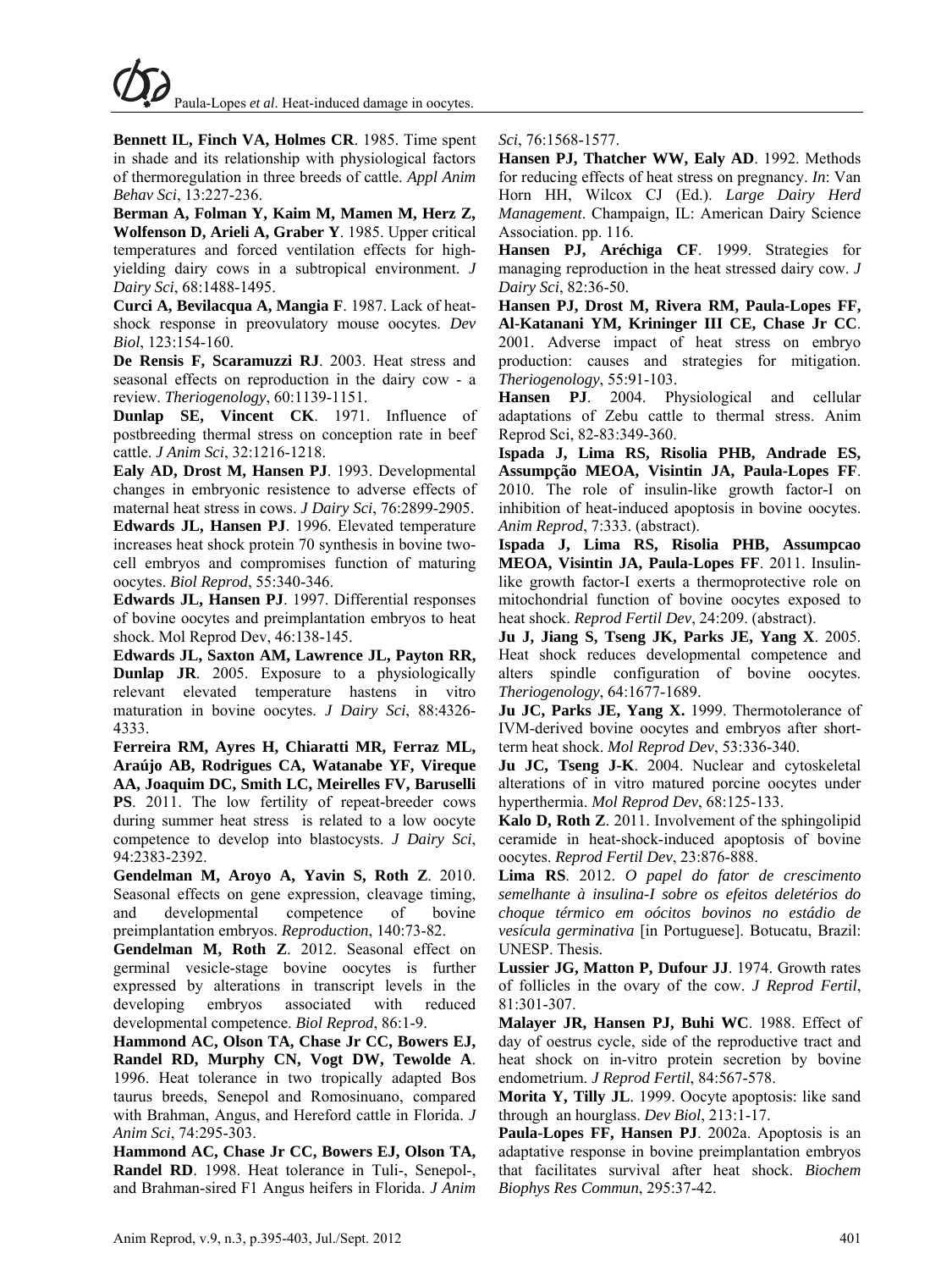**Bennett IL, Finch VA, Holmes CR**. 1985. Time spent in shade and its relationship with physiological factors of thermoregulation in three breeds of cattle. *Appl Anim Behav Sci*, 13:227-236.

**Berman A, Folman Y, Kaim M, Mamen M, Herz Z, Wolfenson D, Arieli A, Graber Y**. 1985. Upper critical temperatures and forced ventilation effects for highyielding dairy cows in a subtropical environment. *J Dairy Sci*, 68:1488-1495.

**Curci A, Bevilacqua A, Mangia F**. 1987. Lack of heatshock response in preovulatory mouse oocytes. *Dev Biol*, 123:154-160.

**De Rensis F, Scaramuzzi RJ**. 2003. Heat stress and seasonal effects on reproduction in the dairy cow - a review. *Theriogenology*, 60:1139-1151.

**Dunlap SE, Vincent CK**. 1971. Influence of postbreeding thermal stress on conception rate in beef cattle. *J Anim Sci*, 32:1216-1218.

**Ealy AD, Drost M, Hansen PJ**. 1993. Developmental changes in embryonic resistence to adverse effects of maternal heat stress in cows. *J Dairy Sci*, 76:2899-2905.

**Edwards JL, Hansen PJ**. 1996. Elevated temperature increases heat shock protein 70 synthesis in bovine twocell embryos and compromises function of maturing oocytes. *Biol Reprod*, 55:340-346.

**Edwards JL, Hansen PJ**. 1997. Differential responses of bovine oocytes and preimplantation embryos to heat shock. Mol Reprod Dev, 46:138-145.

**Edwards JL, Saxton AM, Lawrence JL, Payton RR, Dunlap JR**. 2005. Exposure to a physiologically relevant elevated temperature hastens in vitro maturation in bovine oocytes. *J Dairy Sci*, 88:4326- 4333.

**Ferreira RM, Ayres H, Chiaratti MR, Ferraz ML, Araújo AB, Rodrigues CA, Watanabe YF, Vireque AA, Joaquim DC, Smith LC, Meirelles FV, Baruselli PS**. 2011. The low fertility of repeat-breeder cows during summer heat stress is related to a low oocyte competence to develop into blastocysts. *J Dairy Sci*, 94:2383-2392.

**Gendelman M, Aroyo A, Yavin S, Roth Z**. 2010. Seasonal effects on gene expression, cleavage timing, and developmental competence of bovine preimplantation embryos. *Reproduction*, 140:73-82.

**Gendelman M, Roth Z**. 2012. Seasonal effect on germinal vesicle-stage bovine oocytes is further expressed by alterations in transcript levels in the developing embryos associated with reduced developmental competence. *Biol Reprod*, 86:1-9.

**Hammond AC, Olson TA, Chase Jr CC, Bowers EJ, Randel RD, Murphy CN, Vogt DW, Tewolde A**. 1996. Heat tolerance in two tropically adapted Bos taurus breeds, Senepol and Romosinuano, compared with Brahman, Angus, and Hereford cattle in Florida. *J Anim Sci*, 74:295-303.

**Hammond AC, Chase Jr CC, Bowers EJ, Olson TA, Randel RD**. 1998. Heat tolerance in Tuli-, Senepol-, and Brahman-sired F1 Angus heifers in Florida. *J Anim*  *Sci*, 76:1568-1577.

**Hansen PJ, Thatcher WW, Ealy AD**. 1992. Methods for reducing effects of heat stress on pregnancy. *In*: Van Horn HH, Wilcox CJ (Ed.). *Large Dairy Herd Management*. Champaign, IL: American Dairy Science Association. pp. 116.

**Hansen PJ, Aréchiga CF**. 1999. Strategies for managing reproduction in the heat stressed dairy cow. *J Dairy Sci*, 82:36-50.

**Hansen PJ, Drost M, Rivera RM, Paula-Lopes FF, Al-Katanani YM, Krininger III CE, Chase Jr CC**. 2001. Adverse impact of heat stress on embryo production: causes and strategies for mitigation. *Theriogenology*, 55:91-103.

**Hansen PJ**. 2004. Physiological and cellular adaptations of Zebu cattle to thermal stress. Anim Reprod Sci, 82-83:349-360.

**Ispada J, Lima RS, Risolia PHB, Andrade ES, Assumpção MEOA, Visintin JA, Paula-Lopes FF**. 2010. The role of insulin-like growth factor-I on inhibition of heat-induced apoptosis in bovine oocytes. *Anim Reprod*, 7:333. (abstract).

**Ispada J, Lima RS, Risolia PHB, Assumpcao MEOA, Visintin JA, Paula-Lopes FF**. 2011. Insulinlike growth factor-I exerts a thermoprotective role on mitochondrial function of bovine oocytes exposed to heat shock. *Reprod Fertil Dev*, 24:209. (abstract).

**Ju J, Jiang S, Tseng JK, Parks JE, Yang X**. 2005. Heat shock reduces developmental competence and alters spindle configuration of bovine oocytes. *Theriogenology*, 64:1677-1689.

**Ju JC, Parks JE, Yang X.** 1999. Thermotolerance of IVM-derived bovine oocytes and embryos after shortterm heat shock. *Mol Reprod Dev*, 53:336-340.

**Ju JC, Tseng J-K**. 2004. Nuclear and cytoskeletal alterations of in vitro matured porcine oocytes under hyperthermia. *Mol Reprod Dev*, 68:125-133.

**Kalo D, Roth Z**. 2011. Involvement of the sphingolipid ceramide in heat-shock-induced apoptosis of bovine oocytes. *Reprod Fertil Dev*, 23:876-888.

**Lima RS**. 2012. *O papel do fator de crescimento semelhante à insulina-I sobre os efeitos deletérios do choque térmico em oócitos bovinos no estádio de vesícula germinativa* [in Portuguese]. Botucatu, Brazil: UNESP. Thesis.

**Lussier JG, Matton P, Dufour JJ**. 1974. Growth rates of follicles in the ovary of the cow. *J Reprod Fertil*, 81:301-307.

**Malayer JR, Hansen PJ, Buhi WC**. 1988. Effect of day of oestrus cycle, side of the reproductive tract and heat shock on in-vitro protein secretion by bovine endometrium. *J Reprod Fertil*, 84:567-578.

**Morita Y, Tilly JL**. 1999. Oocyte apoptosis: like sand through an hourglass. *Dev Biol*, 213:1-17.

**Paula-Lopes FF, Hansen PJ**. 2002a. Apoptosis is an adaptative response in bovine preimplantation embryos that facilitates survival after heat shock. *Biochem Biophys Res Commun*, 295:37-42.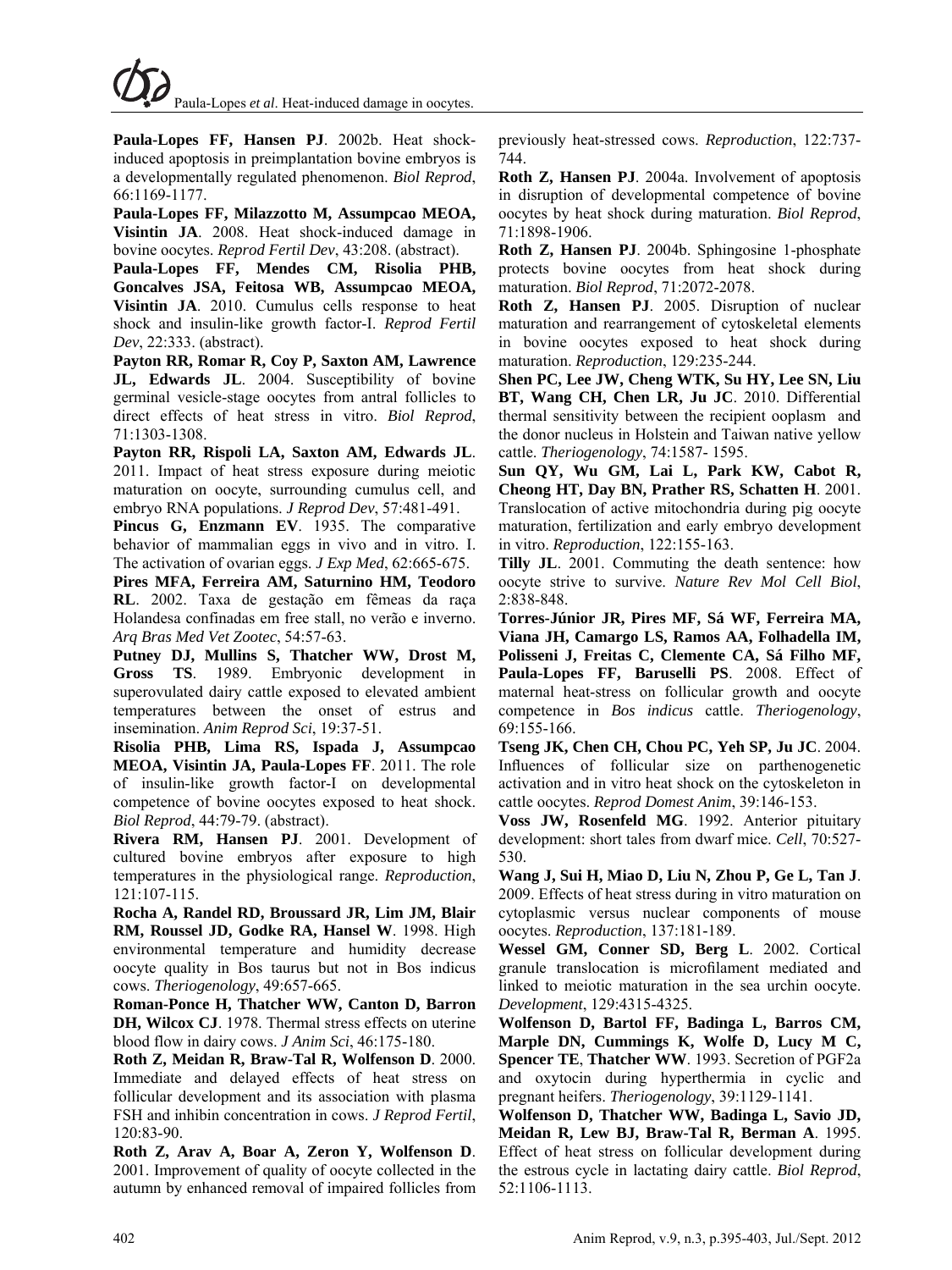Paula-Lopes *et al*. Heat-induced damage in oocytes.

**Paula-Lopes FF, Hansen PJ**. 2002b. Heat shockinduced apoptosis in preimplantation bovine embryos is a developmentally regulated phenomenon. *Biol Reprod*, 66:1169-1177.

**Paula-Lopes FF, Milazzotto M, Assumpcao MEOA, Visintin JA**. 2008. Heat shock-induced damage in bovine oocytes. *Reprod Fertil Dev*, 43:208. (abstract).

**Paula-Lopes FF, Mendes CM, Risolia PHB, Goncalves JSA, Feitosa WB, Assumpcao MEOA, Visintin JA**. 2010. Cumulus cells response to heat shock and insulin-like growth factor-I. *Reprod Fertil Dev*, 22:333. (abstract).

**Payton RR, Romar R, Coy P, Saxton AM, Lawrence JL, Edwards JL**. 2004. Susceptibility of bovine germinal vesicle-stage oocytes from antral follicles to direct effects of heat stress in vitro. *Biol Reprod*, 71:1303-1308.

**Payton RR, Rispoli LA, Saxton AM, Edwards JL**. 2011. Impact of heat stress exposure during meiotic maturation on oocyte, surrounding cumulus cell, and embryo RNA populations. *J Reprod Dev*, 57:481-491.

**Pincus G, Enzmann EV**. 1935. The comparative behavior of mammalian eggs in vivo and in vitro. I. The activation of ovarian eggs. *J Exp Med*, 62:665-675.

**Pires MFA, Ferreira AM, Saturnino HM, Teodoro RL**. 2002. Taxa de gestação em fêmeas da raça Holandesa confinadas em free stall, no verão e inverno. *Arq Bras Med Vet Zootec*, 54:57-63.

**Putney DJ, Mullins S, Thatcher WW, Drost M, Gross TS**. 1989. Embryonic development in superovulated dairy cattle exposed to elevated ambient temperatures between the onset of estrus and insemination. *Anim Reprod Sci*, 19:37-51.

**Risolia PHB, Lima RS, Ispada J, Assumpcao MEOA, Visintin JA, Paula-Lopes FF**. 2011. The role of insulin-like growth factor-I on developmental competence of bovine oocytes exposed to heat shock. *Biol Reprod*, 44:79-79. (abstract).

**Rivera RM, Hansen PJ**. 2001. Development of cultured bovine embryos after exposure to high temperatures in the physiological range. *Reproduction*, 121:107-115.

**Rocha A, Randel RD, Broussard JR, Lim JM, Blair RM, Roussel JD, Godke RA, Hansel W**. 1998. High environmental temperature and humidity decrease oocyte quality in Bos taurus but not in Bos indicus cows. *Theriogenology*, 49:657-665.

**Roman-Ponce H, Thatcher WW, Canton D, Barron DH, Wilcox CJ**. 1978. Thermal stress effects on uterine blood flow in dairy cows. *J Anim Sci*, 46:175-180.

**Roth Z, Meidan R, Braw-Tal R, Wolfenson D**. 2000. Immediate and delayed effects of heat stress on follicular development and its association with plasma FSH and inhibin concentration in cows. *J Reprod Fertil*, 120:83-90.

**Roth Z, Arav A, Boar A, Zeron Y, Wolfenson D**. 2001. Improvement of quality of oocyte collected in the autumn by enhanced removal of impaired follicles from previously heat-stressed cows. *Reproduction*, 122:737- 744.

**Roth Z, Hansen PJ**. 2004a. Involvement of apoptosis in disruption of developmental competence of bovine oocytes by heat shock during maturation. *Biol Reprod*, 71:1898-1906.

**Roth Z, Hansen PJ**. 2004b. Sphingosine 1-phosphate protects bovine oocytes from heat shock during maturation. *Biol Reprod*, 71:2072-2078.

**Roth Z, Hansen PJ**. 2005. Disruption of nuclear maturation and rearrangement of cytoskeletal elements in bovine oocytes exposed to heat shock during maturation. *Reproduction*, 129:235-244.

**Shen PC, Lee JW, Cheng WTK, Su HY, Lee SN, Liu BT, Wang CH, Chen LR, Ju JC**. 2010. Differential thermal sensitivity between the recipient ooplasm and the donor nucleus in Holstein and Taiwan native yellow cattle. *Theriogenology*, 74:1587- 1595.

**Sun QY, Wu GM, Lai L, Park KW, Cabot R, Cheong HT, Day BN, Prather RS, Schatten H**. 2001. Translocation of active mitochondria during pig oocyte maturation, fertilization and early embryo development in vitro. *Reproduction*, 122:155-163.

**Tilly JL**. 2001. Commuting the death sentence: how oocyte strive to survive. *Nature Rev Mol Cell Biol*, 2:838-848.

**Torres-Júnior JR, Pires MF, Sá WF, Ferreira MA, Viana JH, Camargo LS, Ramos AA, Folhadella IM, Polisseni J, Freitas C, Clemente CA, Sá Filho MF, Paula-Lopes FF, Baruselli PS**. 2008. Effect of maternal heat-stress on follicular growth and oocyte competence in *Bos indicus* cattle. *Theriogenology*, 69:155-166.

**Tseng JK, Chen CH, Chou PC, Yeh SP, Ju JC**. 2004. Influences of follicular size on parthenogenetic activation and in vitro heat shock on the cytoskeleton in cattle oocytes. *Reprod Domest Anim*, 39:146-153.

**Voss JW, Rosenfeld MG**. 1992. Anterior pituitary development: short tales from dwarf mice. *Cell*, 70:527- 530.

**Wang J, Sui H, Miao D, Liu N, Zhou P, Ge L, Tan J**. 2009. Effects of heat stress during in vitro maturation on cytoplasmic versus nuclear components of mouse oocytes. *Reproduction*, 137:181-189.

**Wessel GM, Conner SD, Berg L**. 2002. Cortical granule translocation is microfilament mediated and linked to meiotic maturation in the sea urchin oocyte. *Development*, 129:4315-4325.

**Wolfenson D, Bartol FF, Badinga L, Barros CM, Marple DN, Cummings K, Wolfe D, Lucy M C, Spencer TE**, **Thatcher WW**. 1993. Secretion of PGF2a and oxytocin during hyperthermia in cyclic and pregnant heifers. *Theriogenology*, 39:1129-1141.

**Wolfenson D, Thatcher WW, Badinga L, Savio JD, Meidan R, Lew BJ, Braw-Tal R, Berman A**. 1995. Effect of heat stress on follicular development during the estrous cycle in lactating dairy cattle. *Biol Reprod*, 52:1106-1113.